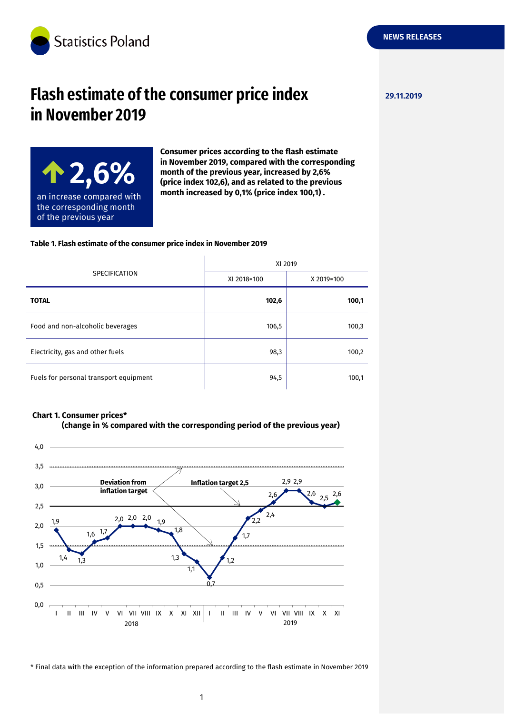

# **Flash estimate of the consumer price index 29.11.2019 in November 2019**

**NEWS RELEASES**



**Consumer prices according to the flash estimate in November 2019, compared with the corresponding month of the previous year, increased by 2,6% (price index 102,6), and as related to the previous month increased by 0,1% (price index 100,1) .**

#### **Table 1. Flash estimate of the consumer price index in November 2019**

| <b>SPECIFICATION</b>                   | XI 2019     |            |
|----------------------------------------|-------------|------------|
|                                        | XI 2018=100 | X 2019=100 |
| <b>TOTAL</b>                           | 102,6       | 100,1      |
| Food and non-alcoholic beverages       | 106,5       | 100,3      |
| Electricity, gas and other fuels       | 98,3        | 100,2      |
| Fuels for personal transport equipment | 94,5        | 100,1      |

 $\mathbf{r}$ 

#### **Chart 1. Consumer prices\***





\* Final data with the exception of the information prepared according to the flash estimate in November 2019